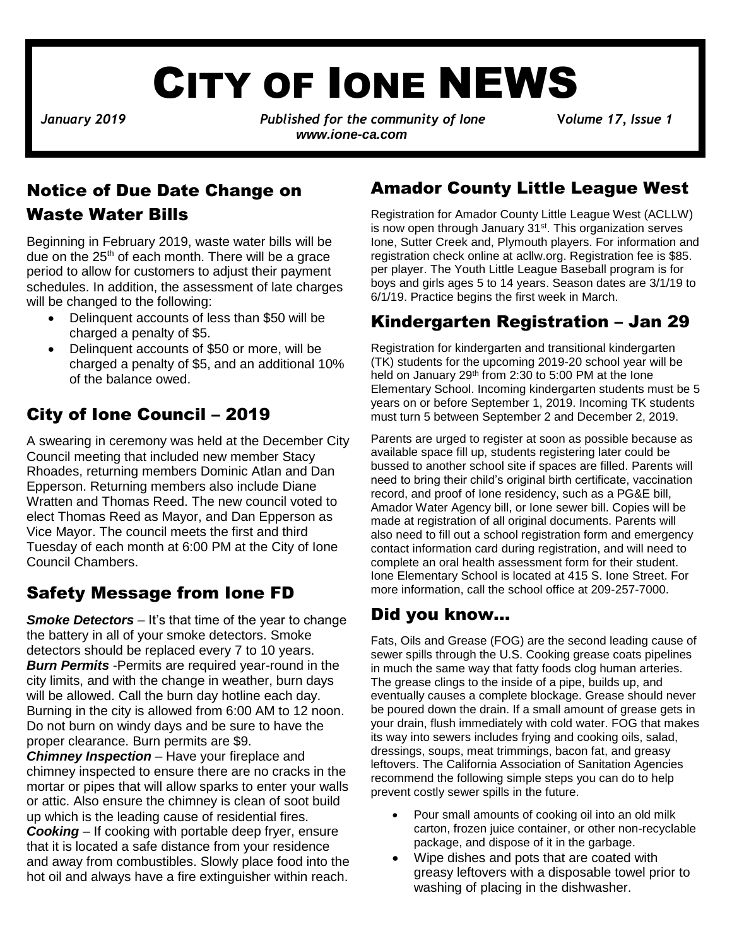# CITY OF IONE NEWS

*January 2019**Published for the community of Ione* **V***olume 17, Issue 1 www.ione-ca.com*

#### Notice of Due Date Change on Waste Water Bills

Beginning in February 2019, waste water bills will be due on the  $25<sup>th</sup>$  of each month. There will be a grace period to allow for customers to adjust their payment schedules. In addition, the assessment of late charges will be changed to the following:

- Delinquent accounts of less than \$50 will be charged a penalty of \$5.
- Delinquent accounts of \$50 or more, will be charged a penalty of \$5, and an additional 10% of the balance owed.

#### City of Ione Council – 2019

✓ Epperson. Returning members also include Diane A swearing in ceremony was held at the December City Council meeting that included new member Stacy Rhoades, returning members Dominic Atlan and Dan Wratten and Thomas Reed. The new council voted to elect Thomas Reed as Mayor, and Dan Epperson as Vice Mayor. The council meets the first and third Tuesday of each month at 6:00 PM at the City of Ione Council Chambers.

#### Safety Message from Ione FD

*Smoke Detectors* – It's that time of the year to change the battery in all of your smoke detectors. Smoke detectors should be replaced every 7 to 10 years. **Burn Permits** -Permits are required year-round in the city limits, and with the change in weather, burn days will be allowed. Call the burn day hotline each day. Burning in the city is allowed from 6:00 AM to 12 noon. Do not burn on windy days and be sure to have the proper clearance. Burn permits are \$9.

*Chimney Inspection* – Have your fireplace and chimney inspected to ensure there are no cracks in the mortar or pipes that will allow sparks to enter your walls or attic. Also ensure the chimney is clean of soot build up which is the leading cause of residential fires. *Cooking* – If cooking with portable deep fryer, ensure that it is located a safe distance from your residence and away from combustibles. Slowly place food into the hot oil and always have a fire extinguisher within reach.

#### Amador County Little League West

Registration for Amador County Little League West (ACLLW) is now open through January 31<sup>st</sup>. This organization serves Ione, Sutter Creek and, Plymouth players. For information and registration check online at acllw.org. Registration fee is \$85. per player. The Youth Little League Baseball program is for boys and girls ages 5 to 14 years. Season dates are 3/1/19 to 6/1/19. Practice begins the first week in March.

#### Kindergarten Registration – Jan 29

Registration for kindergarten and transitional kindergarten (TK) students for the upcoming 2019-20 school year will be held on January 29<sup>th</sup> from 2:30 to 5:00 PM at the lone Elementary School. Incoming kindergarten students must be 5 years on or before September 1, 2019. Incoming TK students must turn 5 between September 2 and December 2, 2019.

Parents are urged to register at soon as possible because as available space fill up, students registering later could be bussed to another school site if spaces are filled. Parents will need to bring their child's original birth certificate, vaccination record, and proof of Ione residency, such as a PG&E bill, Amador Water Agency bill, or Ione sewer bill. Copies will be made at registration of all original documents. Parents will also need to fill out a school registration form and emergency contact information card during registration, and will need to complete an oral health assessment form for their student. Ione Elementary School is located at 415 S. Ione Street. For more information, call the school office at 209-257-7000.

#### Did you know…

Fats, Oils and Grease (FOG) are the second leading cause of sewer spills through the U.S. Cooking grease coats pipelines in much the same way that fatty foods clog human arteries. The grease clings to the inside of a pipe, builds up, and eventually causes a complete blockage. Grease should never be poured down the drain. If a small amount of grease gets in your drain, flush immediately with cold water. FOG that makes its way into sewers includes frying and cooking oils, salad, dressings, soups, meat trimmings, bacon fat, and greasy leftovers. The California Association of Sanitation Agencies recommend the following simple steps you can do to help prevent costly sewer spills in the future.

- Pour small amounts of cooking oil into an old milk carton, frozen juice container, or other non-recyclable package, and dispose of it in the garbage.
- Wipe dishes and pots that are coated with greasy leftovers with a disposable towel prior to washing of placing in the dishwasher.